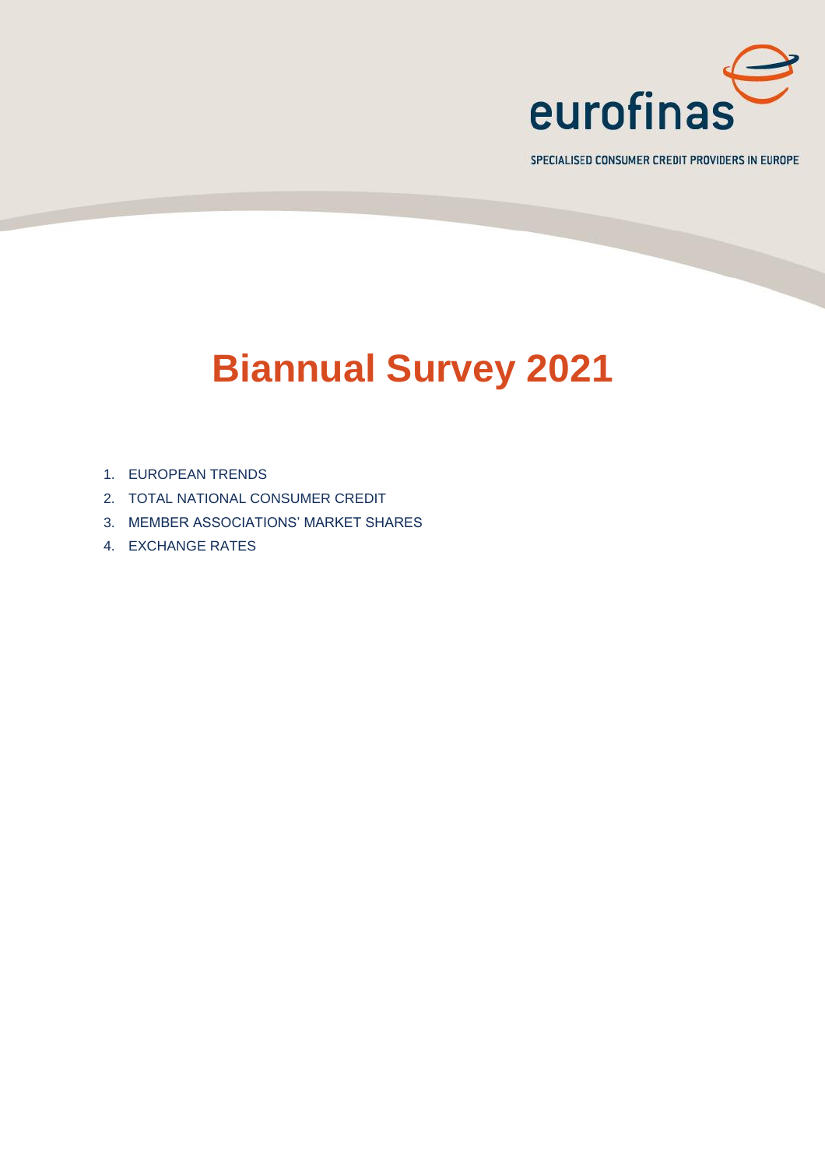

SPECIALISED CONSUMER CREDIT PROVIDERS IN EUROPE

# **Biannual Survey 2021**

- 1. EUROPEAN TRENDS
- 2. TOTAL NATIONAL CONSUMER CREDIT
- 3. MEMBER ASSOCIATIONS' MARKET SHARES
- 4. EXCHANGE RATES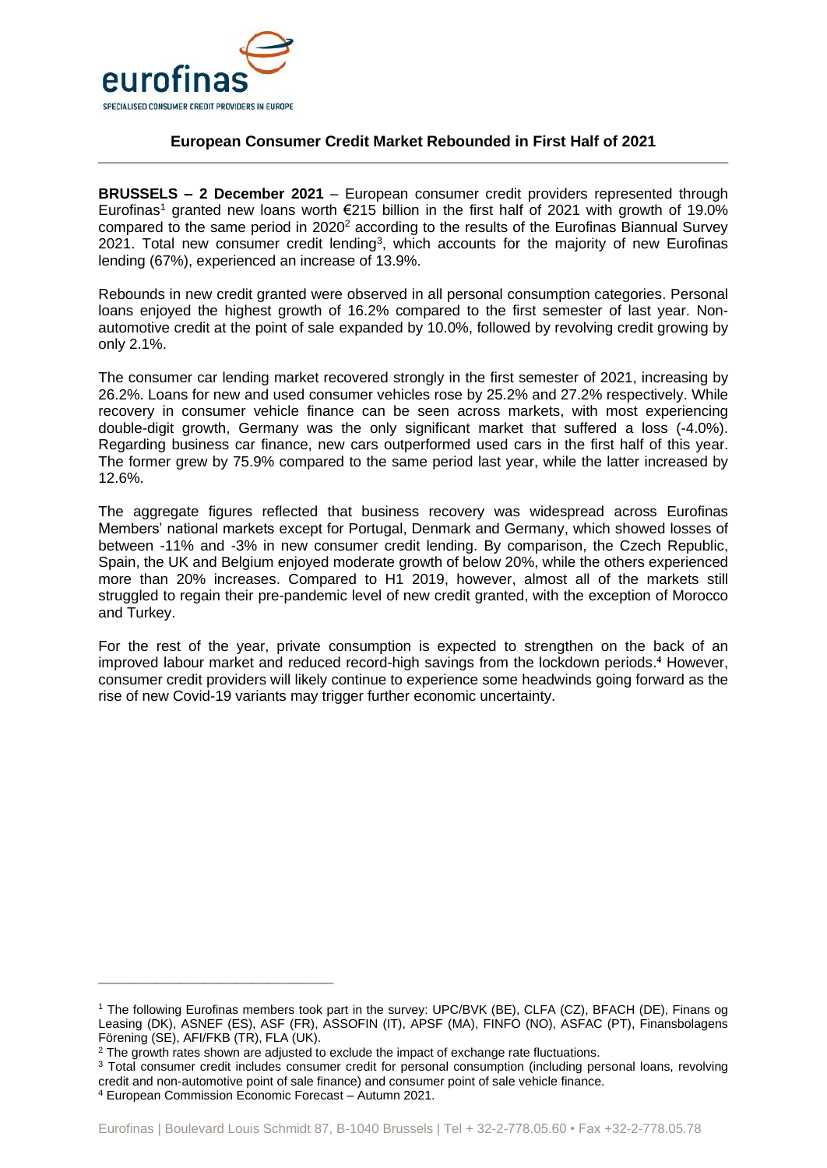

### **European Consumer Credit Market Rebounded in First Half of 2021**

**BRUSSELS – 2 December 2021** – European consumer credit providers represented through Eurofinas<sup>1</sup> granted new loans worth  $E$ 215 billion in the first half of 2021 with growth of 19.0% compared to the same period in 2020<sup>2</sup> according to the results of the Eurofinas Biannual Survey 2021. Total new consumer credit lending<sup>3</sup>, which accounts for the majority of new Eurofinas lending (67%), experienced an increase of 13.9%.

Rebounds in new credit granted were observed in all personal consumption categories. Personal loans enjoyed the highest growth of 16.2% compared to the first semester of last year. Nonautomotive credit at the point of sale expanded by 10.0%, followed by revolving credit growing by only 2.1%.

The consumer car lending market recovered strongly in the first semester of 2021, increasing by 26.2%. Loans for new and used consumer vehicles rose by 25.2% and 27.2% respectively. While recovery in consumer vehicle finance can be seen across markets, with most experiencing double-digit growth, Germany was the only significant market that suffered a loss (-4.0%). Regarding business car finance, new cars outperformed used cars in the first half of this year. The former grew by 75.9% compared to the same period last year, while the latter increased by 12.6%.

The aggregate figures reflected that business recovery was widespread across Eurofinas Members' national markets except for Portugal, Denmark and Germany, which showed losses of between -11% and -3% in new consumer credit lending. By comparison, the Czech Republic, Spain, the UK and Belgium enjoyed moderate growth of below 20%, while the others experienced more than 20% increases. Compared to H1 2019, however, almost all of the markets still struggled to regain their pre-pandemic level of new credit granted, with the exception of Morocco and Turkey.

For the rest of the year, private consumption is expected to strengthen on the back of an improved labour market and reduced record-high savings from the lockdown periods. **<sup>4</sup>** However, consumer credit providers will likely continue to experience some headwinds going forward as the rise of new Covid-19 variants may trigger further economic uncertainty.

**\_\_\_\_\_\_\_\_\_\_\_\_\_\_\_\_\_\_\_\_\_\_\_\_\_\_\_\_\_**

<sup>1</sup> The following Eurofinas members took part in the survey: UPC/BVK (BE), CLFA (CZ), BFACH (DE), Finans og Leasing (DK), ASNEF (ES), ASF (FR), ASSOFIN (IT), APSF (MA), FINFO (NO), ASFAC (PT), Finansbolagens Förening (SE), AFI/FKB (TR), FLA (UK).

<sup>&</sup>lt;sup>2</sup> The growth rates shown are adjusted to exclude the impact of exchange rate fluctuations.

<sup>3</sup> Total consumer credit includes consumer credit for personal consumption (including personal loans, revolving credit and non-automotive point of sale finance) and consumer point of sale vehicle finance.

<sup>4</sup> European Commission Economic Forecast – Autumn 2021.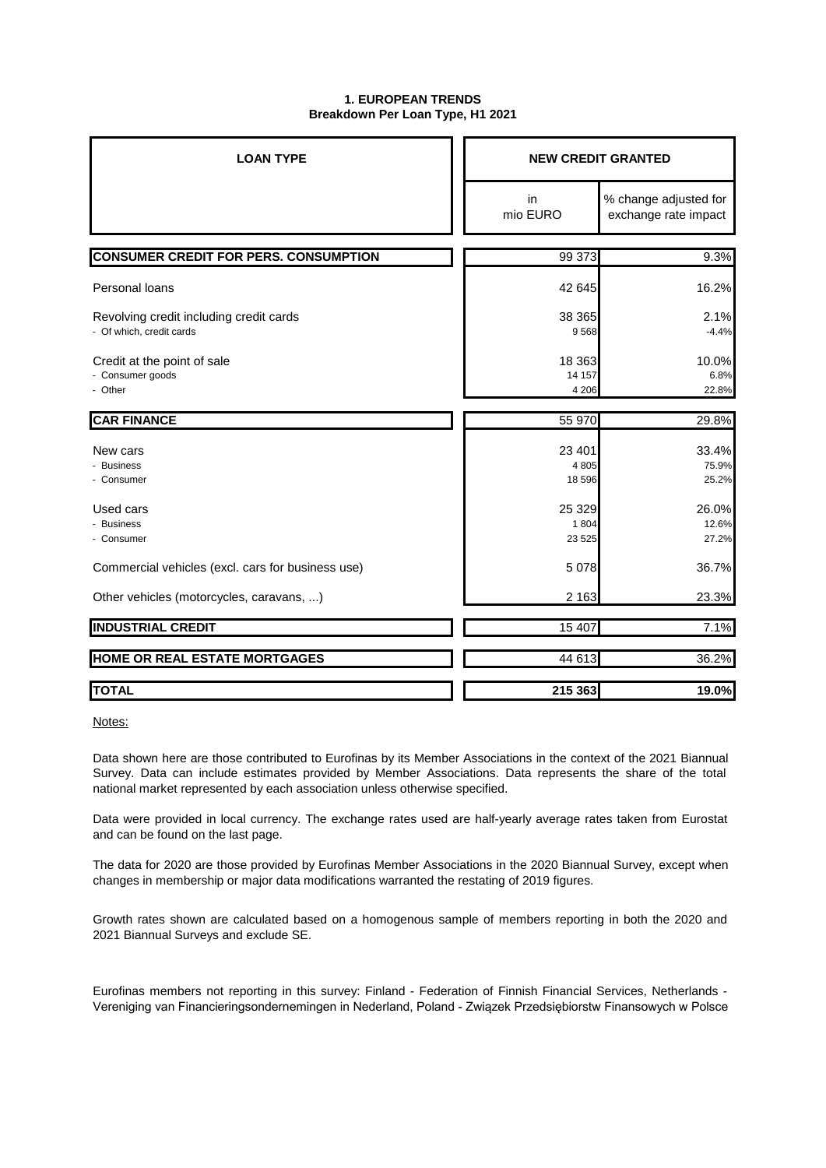#### **1. EUROPEAN TRENDS Breakdown Per Loan Type, H1 2021**

| <b>LOAN TYPE</b>                                                    | <b>NEW CREDIT GRANTED</b>    |                                               |  |
|---------------------------------------------------------------------|------------------------------|-----------------------------------------------|--|
|                                                                     | in<br>mio EURO               | % change adjusted for<br>exchange rate impact |  |
| <b>CONSUMER CREDIT FOR PERS. CONSUMPTION</b>                        | 99 373                       | 9.3%                                          |  |
| Personal loans                                                      | 42 645                       | 16.2%                                         |  |
| Revolving credit including credit cards<br>- Of which, credit cards | 38 365<br>9568               | 2.1%<br>$-4.4%$                               |  |
| Credit at the point of sale<br>- Consumer goods<br>- Other          | 18 3 63<br>14 157<br>4 2 0 6 | 10.0%<br>6.8%<br>22.8%                        |  |
| <b>CAR FINANCE</b>                                                  | 55 970                       | 29.8%                                         |  |
| New cars<br>- Business<br>- Consumer                                | 23 4 01<br>4 8 0 5<br>18 596 | 33.4%<br>75.9%<br>25.2%                       |  |
| Used cars<br>- Business<br>- Consumer                               | 25 3 29<br>1804<br>23 5 25   | 26.0%<br>12.6%<br>27.2%                       |  |
| Commercial vehicles (excl. cars for business use)                   | 5078                         | 36.7%                                         |  |
| Other vehicles (motorcycles, caravans, )                            | 2 1 6 3                      | 23.3%                                         |  |
| <b>INDUSTRIAL CREDIT</b>                                            | 15 407                       | 7.1%                                          |  |
| HOME OR REAL ESTATE MORTGAGES                                       | 44 613                       | 36.2%                                         |  |
| <b>TOTAL</b>                                                        | 215 363                      | 19.0%                                         |  |

Notes:

Data shown here are those contributed to Eurofinas by its Member Associations in the context of the 2021 Biannual Survey. Data can include estimates provided by Member Associations. Data represents the share of the total national market represented by each association unless otherwise specified.

Data were provided in local currency. The exchange rates used are half-yearly average rates taken from Eurostat and can be found on the last page.

The data for 2020 are those provided by Eurofinas Member Associations in the 2020 Biannual Survey, except when changes in membership or major data modifications warranted the restating of 2019 figures.

Growth rates shown are calculated based on a homogenous sample of members reporting in both the 2020 and 2021 Biannual Surveys and exclude SE.

Eurofinas members not reporting in this survey: Finland - Federation of Finnish Financial Services, Netherlands - Vereniging van Financieringsondernemingen in Nederland, Poland - Związek Przedsiębiorstw Finansowych w Polsce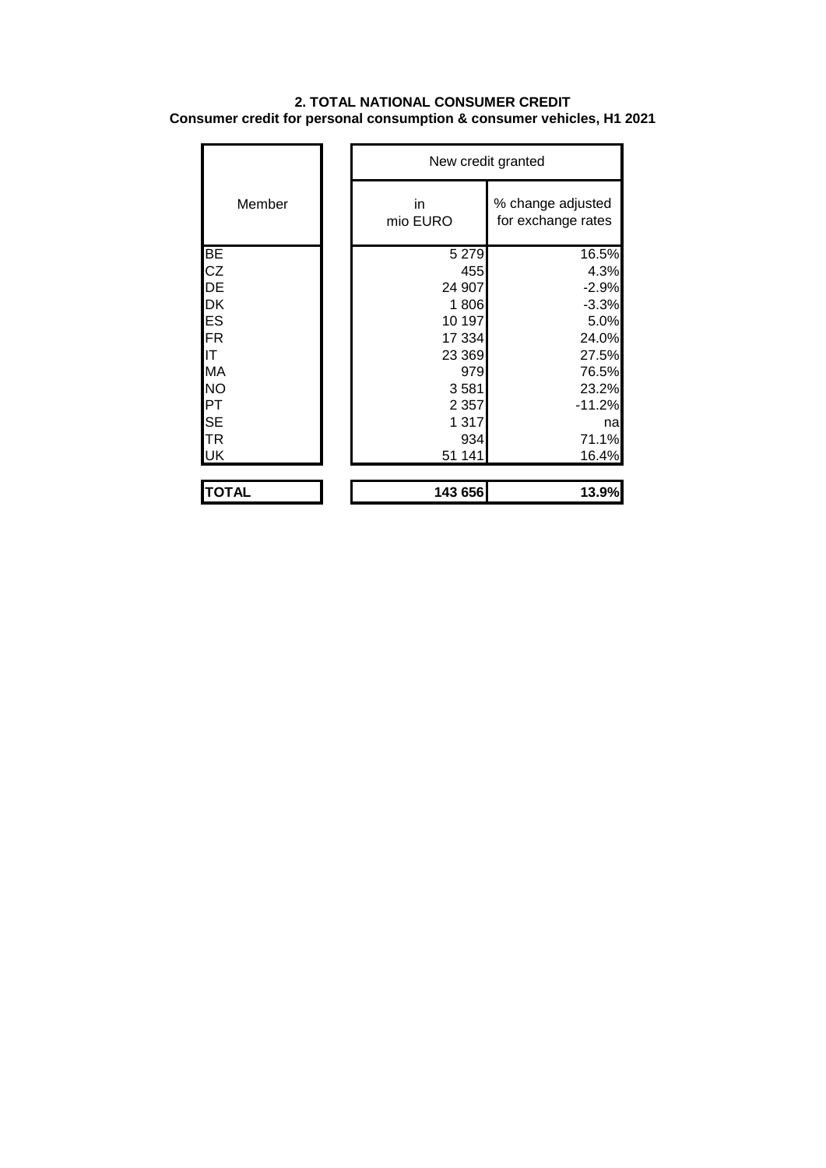## **2. TOTAL NATIONAL CONSUMER CREDIT Consumer credit for personal consumption & consumer vehicles, H1 2021**

|              |                | New credit granted                      |  |  |
|--------------|----------------|-----------------------------------------|--|--|
| Member       | in<br>mio EURO | % change adjusted<br>for exchange rates |  |  |
| BE           | 5 2 7 9        | 16.5%                                   |  |  |
| CZ           | 455            | 4.3%                                    |  |  |
| DE           | 24 907         | $-2.9%$                                 |  |  |
| DK           | 1806           | $-3.3%$                                 |  |  |
| ES           | 10 197         | 5.0%                                    |  |  |
| <b>FR</b>    | 17 334         | 24.0%                                   |  |  |
| IT           | 23 369         | 27.5%                                   |  |  |
| <b>MA</b>    | 979            | 76.5%                                   |  |  |
| <b>NO</b>    | 3581           | 23.2%                                   |  |  |
| PT           | 2 3 5 7        | $-11.2%$                                |  |  |
| <b>SE</b>    | 1 3 1 7        | na                                      |  |  |
| <b>TR</b>    | 934            | 71.1%                                   |  |  |
| <b>UK</b>    | 51 141         | 16.4%                                   |  |  |
| <b>TOTAL</b> | 143 656        | 13.9%                                   |  |  |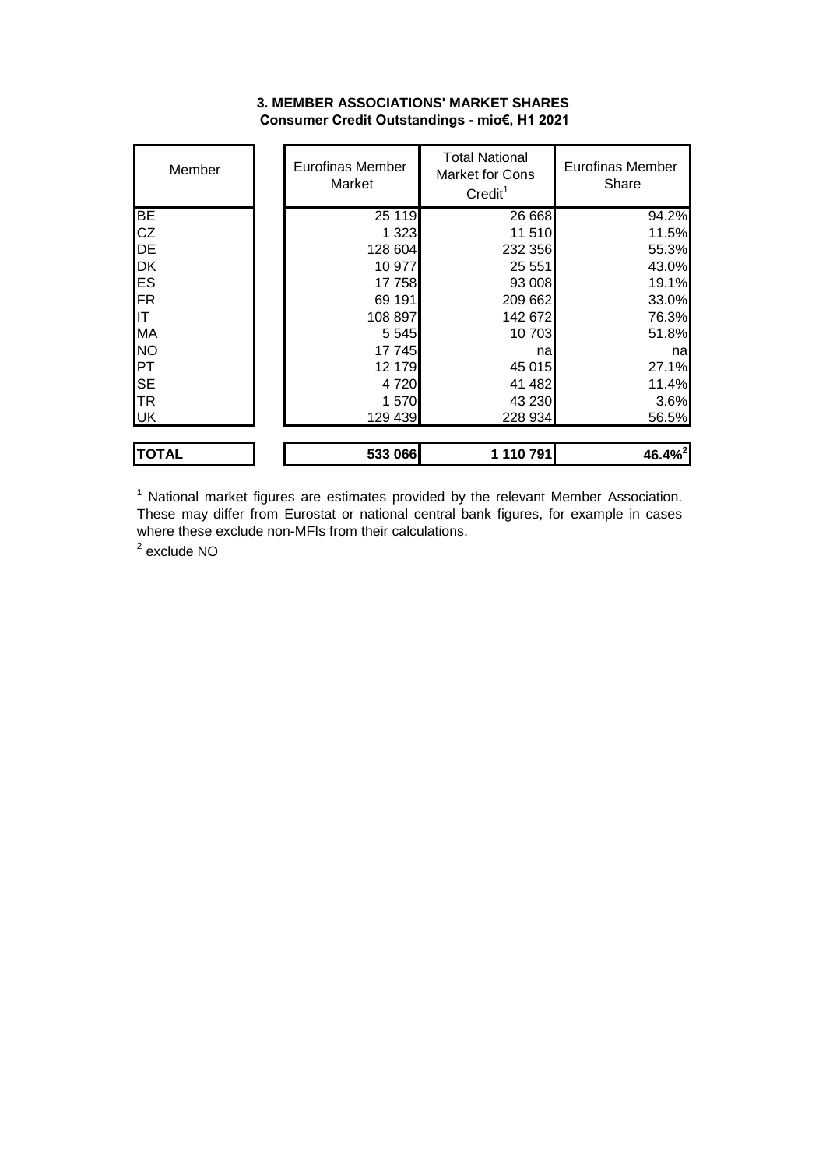#### **3. MEMBER ASSOCIATIONS' MARKET SHARES Consumer Credit Outstandings - mio€, H1 2021**

| Member       | Eurofinas Member<br>Market | <b>Total National</b><br><b>Market for Cons</b><br>Credit <sup>1</sup> | Eurofinas Member<br>Share |
|--------------|----------------------------|------------------------------------------------------------------------|---------------------------|
| <b>BE</b>    | 25 119                     | 26 668                                                                 | 94.2%                     |
| <b>CZ</b>    | 1 3 2 3                    | 11510                                                                  | 11.5%                     |
| <b>DE</b>    | 128 604                    | 232 356                                                                | 55.3%                     |
| <b>DK</b>    | 10 977                     | 25 551                                                                 | 43.0%                     |
| <b>ES</b>    | 17758                      | 93 008                                                                 | 19.1%                     |
| FR           | 69 191                     | 209 662                                                                | 33.0%                     |
| IIT          | 108 897                    | 142 672                                                                | 76.3%                     |
| <b>MA</b>    | 5 5 4 5                    | 10703                                                                  | 51.8%                     |
| <b>NO</b>    | 17 745                     | nal                                                                    | nal                       |
| PT           | 12 179                     | 45 015                                                                 | 27.1%                     |
| <b>SE</b>    | 4720                       | 41 482                                                                 | 11.4%                     |
| <b>TR</b>    | 1570                       | 43 230                                                                 | 3.6%                      |
| <b>UK</b>    | 129 439                    | 228 934                                                                | 56.5%                     |
| <b>TOTAL</b> | 533 066                    | 1 110 791                                                              | 46.4% <sup>2</sup>        |

 $1$  National market figures are estimates provided by the relevant Member Association. These may differ from Eurostat or national central bank figures, for example in cases where these exclude non-MFIs from their calculations.

<sup>2</sup> exclude NO